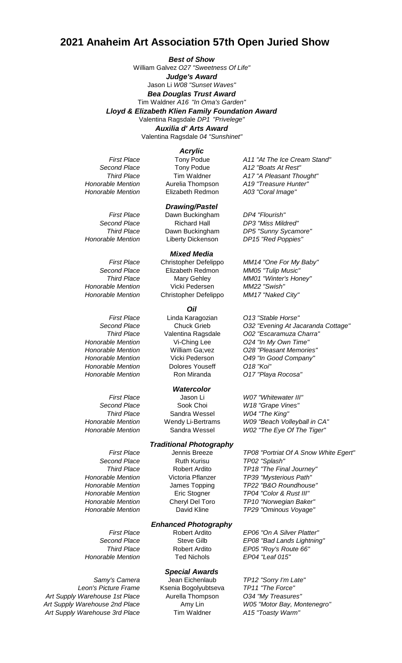## **2021 Anaheim Art Association 57th Open Juried Show**

Jason Li *W08 "Sunset Waves" Lloyd & Elizabeth Klien Family Foundation Award* Valentina Ragsdale *DP1 "Privelege" Best of Show* William Galvez *O27 "Sweetness Of Life" Judge's Award Bea Douglas Trust Award* Tim Waldner *A16 "In Oma's Garden" Auxilia d' Arts Award* Valentina Ragsdale *04 "Sunshinet"*

#### *Acrylic*

*Honorable Mention* Elizabeth Redmon *A03 "Coral Image"*

*Drawing/Pastel*

*Mixed Media*

*Second Place* Elizabeth Redmon *MM05 "Tulip Music" Honorable Mention* Vicki Pedersen *MM22 "Swish" Honorable Mention* Christopher Defelippo

#### *Oil*

*First Place* Linda Karagozian *O13 "Stable Horse" Honorable Mention* Dolores Youseff *O18 "Koi"*

*Watercolor*

*First Place* Jason Li *W07 "Whitewater III" Second Place* Sook Choi *W18 "Grape Vines" Third Place* Sandra Wessel *W04 "The King"*

## *Traditional Photography*

*Second Place* Ruth Kurisu *TP02 "Splash"*

### *Enhanced Photography*

Robert Ardito

# *Special Awards*

*Samy's Camera* Jean Eichenlaub *TP12 "Sorry I'm Late" Leon's Picture Frame* Ksenia Bogolyubtseva *TP11 "The Force"*

*First Place* Tony Podue *A11 "At The Ice Cream Stand" Second Place* Tony Podue *A12 "Boats At Rest" Third Place* Tim Waldner *A17 "A Pleasant Thought" Honorable Mention* Aurelia Thompson *A19 "Treasure Hunter"*

*First Place* Dawn Buckingham *DP4 "Flourish" Second Place* Richard Hall *DP3 "Miss Mildred" Third Place* Dawn Buckingham *DP5 "Sunny Sycamore" Honorable Mention* Liberty Dickenson *DP15 "Red Poppies"*

*First Place* Christopher Defelippo *MM14 "One For My Baby" Third Place* Mary Gehley *MM01 "Winter's Honey"*

*Second Place* Chuck Grieb *O32 "Evening At Jacaranda Cottage" Third Place* Valentina Ragsdale *O02 "Escaramuza Charra" Honorable Mention* Vi-Ching Lee *O24 "In My Own Time" Honorable Mention* William Ga;vez *O28 "Pleasant Memories" Honorable Mention* Vicki Pederson *O49 "In Good Company" Honorable Mention* Ron Miranda *O17 "Playa Rocosa"*

*Honorable Mention* Wendy Li-Bertrams *W09 "Beach Volleyball in CA" Honorable Mention* Sandra Wessel *W02 "The Eye Of The Tiger"*

*First Place* Jennis Breeze *TP08 "Portriat Of A Snow White Egert" Third Place* Robert Ardito *TP18 "The Final Journey" Honorable Mention* Victoria Pflanzer *TP39 "Mysterious Path" Honorable Mention* James Topping *TP22 "B&O Roundhouse" Honorable Mention* Eric Stogner *TP04 "Color & Rust III" Honorable Mention* Cheryl Del Toro *TP10 "Norwegian Baker"*

*First Place EP06 "On A Silver Platter" Second Place* Steve Gilb *EP08 "Bad Lands Lightning" Third Place* Robert Ardito *EP05 "Roy's Route 66"*

*Honorable Mention* David Kline *TP29 "Ominous Voyage"*

*Honorable Mention* Ted Nichols *EP04 "Leaf 015"*

Art Supply Warehouse 1st Place **Aurella Thompson** Art Supply Warehouse 2nd Place **Amy Lin 6 Amy Lin** *W05 "Motor Bay, Montenegro" Art Supply Warehouse 3rd Place* Tim Waldner *A15 "Toasty Warm"*